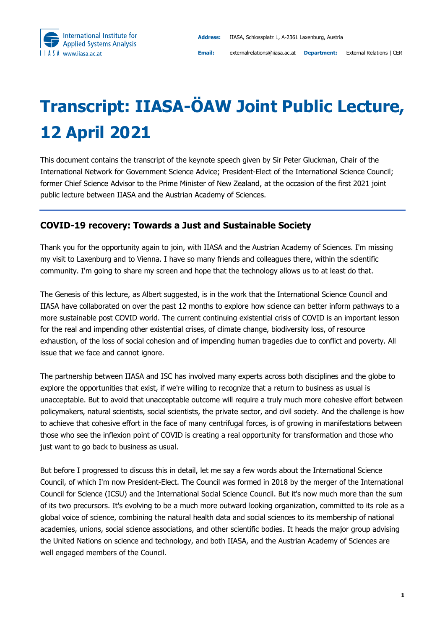

## **Transcript: IIASA-ÖAW Joint Public Lecture, 12 April 2021**

This document contains the transcript of the keynote speech given by Sir Peter Gluckman, Chair of the International Network for Government Science Advice; President-Elect of the International Science Council; former Chief Science Advisor to the Prime Minister of New Zealand, at the occasion of the first 2021 joint public lecture between IIASA and the Austrian Academy of Sciences.

## **COVID-19 recovery: Towards a Just and Sustainable Society**

Thank you for the opportunity again to join, with IIASA and the Austrian Academy of Sciences. I'm missing my visit to Laxenburg and to Vienna. I have so many friends and colleagues there, within the scientific community. I'm going to share my screen and hope that the technology allows us to at least do that.

The Genesis of this lecture, as Albert suggested, is in the work that the International Science Council and IIASA have collaborated on over the past 12 months to explore how science can better inform pathways to a more sustainable post COVID world. The current continuing existential crisis of COVID is an important lesson for the real and impending other existential crises, of climate change, biodiversity loss, of resource exhaustion, of the loss of social cohesion and of impending human tragedies due to conflict and poverty. All issue that we face and cannot ignore.

The partnership between IIASA and ISC has involved many experts across both disciplines and the globe to explore the opportunities that exist, if we're willing to recognize that a return to business as usual is unacceptable. But to avoid that unacceptable outcome will require a truly much more cohesive effort between policymakers, natural scientists, social scientists, the private sector, and civil society. And the challenge is how to achieve that cohesive effort in the face of many centrifugal forces, is of growing in manifestations between those who see the inflexion point of COVID is creating a real opportunity for transformation and those who just want to go back to business as usual.

But before I progressed to discuss this in detail, let me say a few words about the International Science Council, of which I'm now President-Elect. The Council was formed in 2018 by the merger of the International Council for Science (ICSU) and the International Social Science Council. But it's now much more than the sum of its two precursors. It's evolving to be a much more outward looking organization, committed to its role as a global voice of science, combining the natural health data and social sciences to its membership of national academies, unions, social science associations, and other scientific bodies. It heads the major group advising the United Nations on science and technology, and both IIASA, and the Austrian Academy of Sciences are well engaged members of the Council.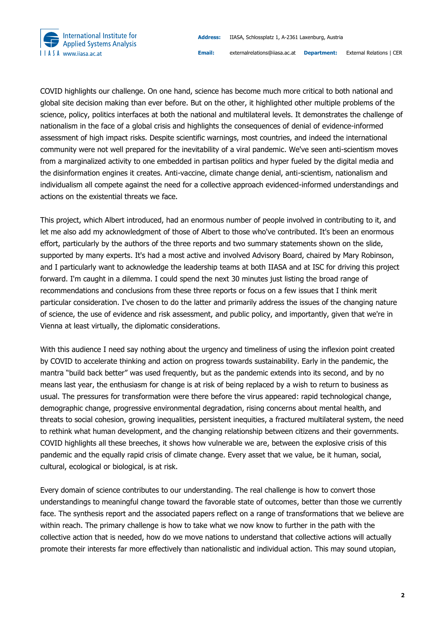

COVID highlights our challenge. On one hand, science has become much more critical to both national and global site decision making than ever before. But on the other, it highlighted other multiple problems of the science, policy, politics interfaces at both the national and multilateral levels. It demonstrates the challenge of nationalism in the face of a global crisis and highlights the consequences of denial of evidence-informed assessment of high impact risks. Despite scientific warnings, most countries, and indeed the international community were not well prepared for the inevitability of a viral pandemic. We've seen anti-scientism moves from a marginalized activity to one embedded in partisan politics and hyper fueled by the digital media and the disinformation engines it creates. Anti-vaccine, climate change denial, anti-scientism, nationalism and individualism all compete against the need for a collective approach evidenced-informed understandings and actions on the existential threats we face.

This project, which Albert introduced, had an enormous number of people involved in contributing to it, and let me also add my acknowledgment of those of Albert to those who've contributed. It's been an enormous effort, particularly by the authors of the three reports and two summary statements shown on the slide, supported by many experts. It's had a most active and involved Advisory Board, chaired by Mary Robinson, and I particularly want to acknowledge the leadership teams at both IIASA and at ISC for driving this project forward. I'm caught in a dilemma. I could spend the next 30 minutes just listing the broad range of recommendations and conclusions from these three reports or focus on a few issues that I think merit particular consideration. I've chosen to do the latter and primarily address the issues of the changing nature of science, the use of evidence and risk assessment, and public policy, and importantly, given that we're in Vienna at least virtually, the diplomatic considerations.

With this audience I need say nothing about the urgency and timeliness of using the inflexion point created by COVID to accelerate thinking and action on progress towards sustainability. Early in the pandemic, the mantra "build back better" was used frequently, but as the pandemic extends into its second, and by no means last year, the enthusiasm for change is at risk of being replaced by a wish to return to business as usual. The pressures for transformation were there before the virus appeared: rapid technological change, demographic change, progressive environmental degradation, rising concerns about mental health, and threats to social cohesion, growing inequalities, persistent inequities, a fractured multilateral system, the need to rethink what human development, and the changing relationship between citizens and their governments. COVID highlights all these breeches, it shows how vulnerable we are, between the explosive crisis of this pandemic and the equally rapid crisis of climate change. Every asset that we value, be it human, social, cultural, ecological or biological, is at risk.

Every domain of science contributes to our understanding. The real challenge is how to convert those understandings to meaningful change toward the favorable state of outcomes, better than those we currently face. The synthesis report and the associated papers reflect on a range of transformations that we believe are within reach. The primary challenge is how to take what we now know to further in the path with the collective action that is needed, how do we move nations to understand that collective actions will actually promote their interests far more effectively than nationalistic and individual action. This may sound utopian,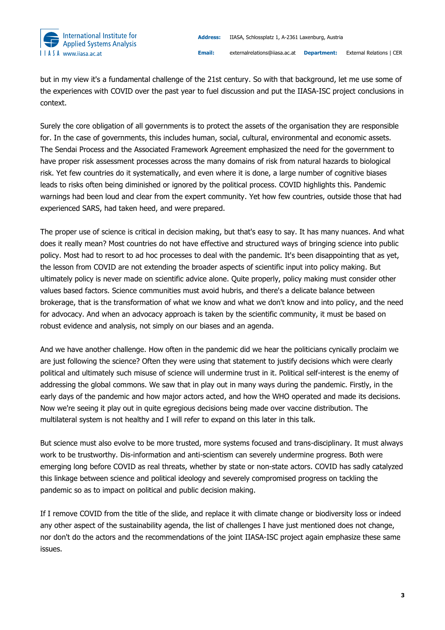

but in my view it's a fundamental challenge of the 21st century. So with that background, let me use some of the experiences with COVID over the past year to fuel discussion and put the IIASA-ISC project conclusions in context.

Surely the core obligation of all governments is to protect the assets of the organisation they are responsible for. In the case of governments, this includes human, social, cultural, environmental and economic assets. The Sendai Process and the Associated Framework Agreement emphasized the need for the government to have proper risk assessment processes across the many domains of risk from natural hazards to biological risk. Yet few countries do it systematically, and even where it is done, a large number of cognitive biases leads to risks often being diminished or ignored by the political process. COVID highlights this. Pandemic warnings had been loud and clear from the expert community. Yet how few countries, outside those that had experienced SARS, had taken heed, and were prepared.

The proper use of science is critical in decision making, but that's easy to say. It has many nuances. And what does it really mean? Most countries do not have effective and structured ways of bringing science into public policy. Most had to resort to ad hoc processes to deal with the pandemic. It's been disappointing that as yet, the lesson from COVID are not extending the broader aspects of scientific input into policy making. But ultimately policy is never made on scientific advice alone. Quite properly, policy making must consider other values based factors. Science communities must avoid hubris, and there's a delicate balance between brokerage, that is the transformation of what we know and what we don't know and into policy, and the need for advocacy. And when an advocacy approach is taken by the scientific community, it must be based on robust evidence and analysis, not simply on our biases and an agenda.

And we have another challenge. How often in the pandemic did we hear the politicians cynically proclaim we are just following the science? Often they were using that statement to justify decisions which were clearly political and ultimately such misuse of science will undermine trust in it. Political self-interest is the enemy of addressing the global commons. We saw that in play out in many ways during the pandemic. Firstly, in the early days of the pandemic and how major actors acted, and how the WHO operated and made its decisions. Now we're seeing it play out in quite egregious decisions being made over vaccine distribution. The multilateral system is not healthy and I will refer to expand on this later in this talk.

But science must also evolve to be more trusted, more systems focused and trans-disciplinary. It must always work to be trustworthy. Dis-information and anti-scientism can severely undermine progress. Both were emerging long before COVID as real threats, whether by state or non-state actors. COVID has sadly catalyzed this linkage between science and political ideology and severely compromised progress on tackling the pandemic so as to impact on political and public decision making.

If I remove COVID from the title of the slide, and replace it with climate change or biodiversity loss or indeed any other aspect of the sustainability agenda, the list of challenges I have just mentioned does not change, nor don't do the actors and the recommendations of the joint IIASA-ISC project again emphasize these same issues.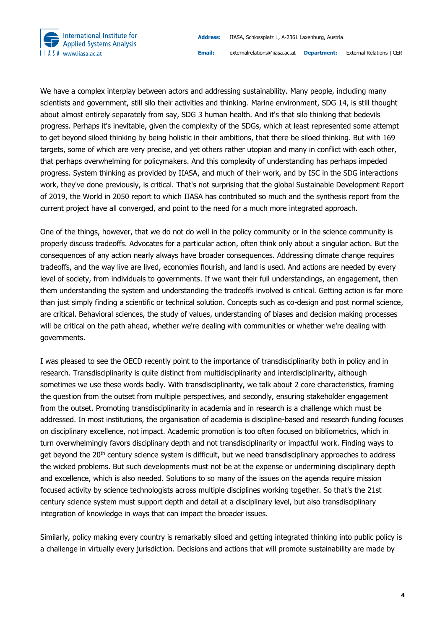

We have a complex interplay between actors and addressing sustainability. Many people, including many scientists and government, still silo their activities and thinking. Marine environment, SDG 14, is still thought about almost entirely separately from say, SDG 3 human health. And it's that silo thinking that bedevils progress. Perhaps it's inevitable, given the complexity of the SDGs, which at least represented some attempt to get beyond siloed thinking by being holistic in their ambitions, that there be siloed thinking. But with 169 targets, some of which are very precise, and yet others rather utopian and many in conflict with each other, that perhaps overwhelming for policymakers. And this complexity of understanding has perhaps impeded progress. System thinking as provided by IIASA, and much of their work, and by ISC in the SDG interactions work, they've done previously, is critical. That's not surprising that the global Sustainable Development Report of 2019, the World in 2050 report to which IIASA has contributed so much and the synthesis report from the current project have all converged, and point to the need for a much more integrated approach.

One of the things, however, that we do not do well in the policy community or in the science community is properly discuss tradeoffs. Advocates for a particular action, often think only about a singular action. But the consequences of any action nearly always have broader consequences. Addressing climate change requires tradeoffs, and the way live are lived, economies flourish, and land is used. And actions are needed by every level of society, from individuals to governments. If we want their full understandings, an engagement, then them understanding the system and understanding the tradeoffs involved is critical. Getting action is far more than just simply finding a scientific or technical solution. Concepts such as co-design and post normal science, are critical. Behavioral sciences, the study of values, understanding of biases and decision making processes will be critical on the path ahead, whether we're dealing with communities or whether we're dealing with governments.

I was pleased to see the OECD recently point to the importance of transdisciplinarity both in policy and in research. Transdisciplinarity is quite distinct from multidisciplinarity and interdisciplinarity, although sometimes we use these words badly. With transdisciplinarity, we talk about 2 core characteristics, framing the question from the outset from multiple perspectives, and secondly, ensuring stakeholder engagement from the outset. Promoting transdisciplinarity in academia and in research is a challenge which must be addressed. In most institutions, the organisation of academia is discipline-based and research funding focuses on disciplinary excellence, not impact. Academic promotion is too often focused on bibliometrics, which in turn overwhelmingly favors disciplinary depth and not transdisciplinarity or impactful work. Finding ways to get beyond the 20<sup>th</sup> century science system is difficult, but we need transdisciplinary approaches to address the wicked problems. But such developments must not be at the expense or undermining disciplinary depth and excellence, which is also needed. Solutions to so many of the issues on the agenda require mission focused activity by science technologists across multiple disciplines working together. So that's the 21st century science system must support depth and detail at a disciplinary level, but also transdisciplinary integration of knowledge in ways that can impact the broader issues.

Similarly, policy making every country is remarkably siloed and getting integrated thinking into public policy is a challenge in virtually every jurisdiction. Decisions and actions that will promote sustainability are made by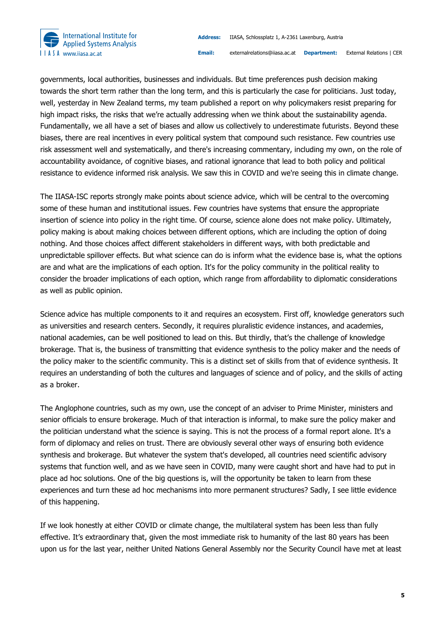

governments, local authorities, businesses and individuals. But time preferences push decision making towards the short term rather than the long term, and this is particularly the case for politicians. Just today, well, yesterday in New Zealand terms, my team published a report on why policymakers resist preparing for high impact risks, the risks that we're actually addressing when we think about the sustainability agenda. Fundamentally, we all have a set of biases and allow us collectively to underestimate futurists. Beyond these biases, there are real incentives in every political system that compound such resistance. Few countries use risk assessment well and systematically, and there's increasing commentary, including my own, on the role of accountability avoidance, of cognitive biases, and rational ignorance that lead to both policy and political resistance to evidence informed risk analysis. We saw this in COVID and we're seeing this in climate change.

The IIASA-ISC reports strongly make points about science advice, which will be central to the overcoming some of these human and institutional issues. Few countries have systems that ensure the appropriate insertion of science into policy in the right time. Of course, science alone does not make policy. Ultimately, policy making is about making choices between different options, which are including the option of doing nothing. And those choices affect different stakeholders in different ways, with both predictable and unpredictable spillover effects. But what science can do is inform what the evidence base is, what the options are and what are the implications of each option. It's for the policy community in the political reality to consider the broader implications of each option, which range from affordability to diplomatic considerations as well as public opinion.

Science advice has multiple components to it and requires an ecosystem. First off, knowledge generators such as universities and research centers. Secondly, it requires pluralistic evidence instances, and academies, national academies, can be well positioned to lead on this. But thirdly, that's the challenge of knowledge brokerage. That is, the business of transmitting that evidence synthesis to the policy maker and the needs of the policy maker to the scientific community. This is a distinct set of skills from that of evidence synthesis. It requires an understanding of both the cultures and languages of science and of policy, and the skills of acting as a broker.

The Anglophone countries, such as my own, use the concept of an adviser to Prime Minister, ministers and senior officials to ensure brokerage. Much of that interaction is informal, to make sure the policy maker and the politician understand what the science is saying. This is not the process of a formal report alone. It's a form of diplomacy and relies on trust. There are obviously several other ways of ensuring both evidence synthesis and brokerage. But whatever the system that's developed, all countries need scientific advisory systems that function well, and as we have seen in COVID, many were caught short and have had to put in place ad hoc solutions. One of the big questions is, will the opportunity be taken to learn from these experiences and turn these ad hoc mechanisms into more permanent structures? Sadly, I see little evidence of this happening.

If we look honestly at either COVID or climate change, the multilateral system has been less than fully effective. It's extraordinary that, given the most immediate risk to humanity of the last 80 years has been upon us for the last year, neither United Nations General Assembly nor the Security Council have met at least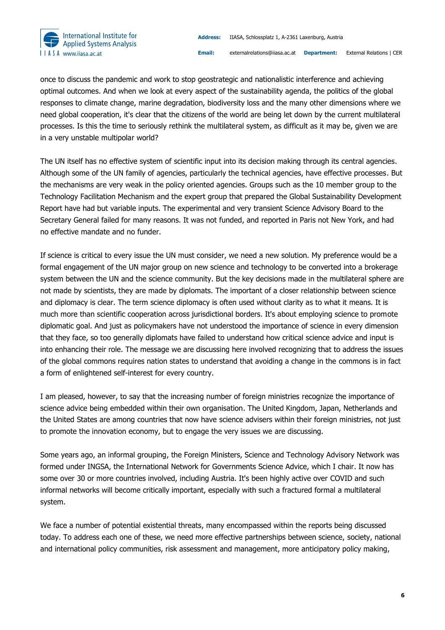

once to discuss the pandemic and work to stop geostrategic and nationalistic interference and achieving optimal outcomes. And when we look at every aspect of the sustainability agenda, the politics of the global responses to climate change, marine degradation, biodiversity loss and the many other dimensions where we need global cooperation, it's clear that the citizens of the world are being let down by the current multilateral processes. Is this the time to seriously rethink the multilateral system, as difficult as it may be, given we are in a very unstable multipolar world?

The UN itself has no effective system of scientific input into its decision making through its central agencies. Although some of the UN family of agencies, particularly the technical agencies, have effective processes. But the mechanisms are very weak in the policy oriented agencies. Groups such as the 10 member group to the Technology Facilitation Mechanism and the expert group that prepared the Global Sustainability Development Report have had but variable inputs. The experimental and very transient Science Advisory Board to the Secretary General failed for many reasons. It was not funded, and reported in Paris not New York, and had no effective mandate and no funder.

If science is critical to every issue the UN must consider, we need a new solution. My preference would be a formal engagement of the UN major group on new science and technology to be converted into a brokerage system between the UN and the science community. But the key decisions made in the multilateral sphere are not made by scientists, they are made by diplomats. The important of a closer relationship between science and diplomacy is clear. The term science diplomacy is often used without clarity as to what it means. It is much more than scientific cooperation across jurisdictional borders. It's about employing science to promote diplomatic goal. And just as policymakers have not understood the importance of science in every dimension that they face, so too generally diplomats have failed to understand how critical science advice and input is into enhancing their role. The message we are discussing here involved recognizing that to address the issues of the global commons requires nation states to understand that avoiding a change in the commons is in fact a form of enlightened self-interest for every country.

I am pleased, however, to say that the increasing number of foreign ministries recognize the importance of science advice being embedded within their own organisation. The United Kingdom, Japan, Netherlands and the United States are among countries that now have science advisers within their foreign ministries, not just to promote the innovation economy, but to engage the very issues we are discussing.

Some years ago, an informal grouping, the Foreign Ministers, Science and Technology Advisory Network was formed under INGSA, the International Network for Governments Science Advice, which I chair. It now has some over 30 or more countries involved, including Austria. It's been highly active over COVID and such informal networks will become critically important, especially with such a fractured formal a multilateral system.

We face a number of potential existential threats, many encompassed within the reports being discussed today. To address each one of these, we need more effective partnerships between science, society, national and international policy communities, risk assessment and management, more anticipatory policy making,